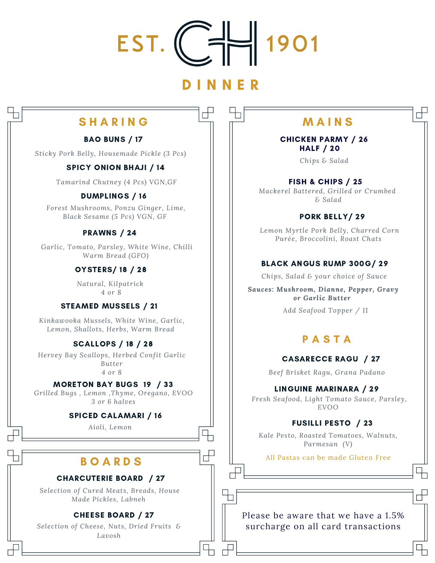

# D I N N E R

┌╄

 $\overline{\mathbb{H}}$ 

# SHARING HIMMAINS

# BAO BUNS / 17

*Sticky Pork Belly, Housemade Pickle (3 Pcs)*

# SPICY ONION BHAJI / 14

*Tamarind Chutney (4 Pcs) VGN,GF*

# DUMPLINGS / 16

*Forest Mushrooms, Ponzu Ginger, Lime, Black Sesame (5 Pcs) VGN, GF*

# PRAWNS / 24

*Garlic, Tomato, Parsley, White Wine, Chilli Warm Bread (GFO)*

# OYSTERS/ 18 / 28

*Natural, Kilpatrick 4 or 8*

# STEAMED MUSSELS / 21

*Kinkawooka Mussels, White Wine, Garlic, Lemon, Shallots, Herbs, Warm Bread*

# SCALLOPS / 18 / 28

*Hervey Bay Scallops, Herbed Confit Garlic Butter 4 or 8*

### MORETON BAY BUGS 19 / 33

*Grilled Bugs , Lemon ,Thyme, Oregano, EVOO 3 or 6 halves*

### SPICED CALAMARI / 16

*Aioli, Lemon*

# **BOARDS**

### CHARCUTERIE BOARD / 27

*Selection of Cured Meats, Breads, House Made Pickles, Labneh*

# CHEESE BOARD / 27

*Selection of Cheese, Nuts, Dried Fruits & Lavosh*

П

 $\overline{\phantom{a}}$ 

CHICKEN PARMY / 26 HALF / 20

*Chips & Salad*

FISH & CHIPS / 25 *Mackerel Battered, Grilled or Crumbed*

*& Salad*

# PORK BELLY/ 29

*Lemon Myrtle Pork Belly, Charred Corn Purée, Broccolini, Roast Chats*

# BLACK ANGUS RUMP 300G/ 29

*Chips, Salad & your choice of Sauce*

*Sauces: Mushroom, Dianne, Pepper, Gravy or Garlic Butter*

*Add Seafood Topper / 11*

# PASTA

CASARECCE RAGU / 27

*Beef Brisket Ragu, Grana Padano*

LINGUINE MARINARA / 29

*Fresh Seafood, Light Tomato Sauce, Parsley, EVOO*

# FUSILLI PESTO / 23

*Kale Pesto, Roasted Tomatoes, Walnuts, Parmesan (V)*

All Pastas can be made Gluten Free

Please be aware that we have a 1.5% surcharge on all card transactions